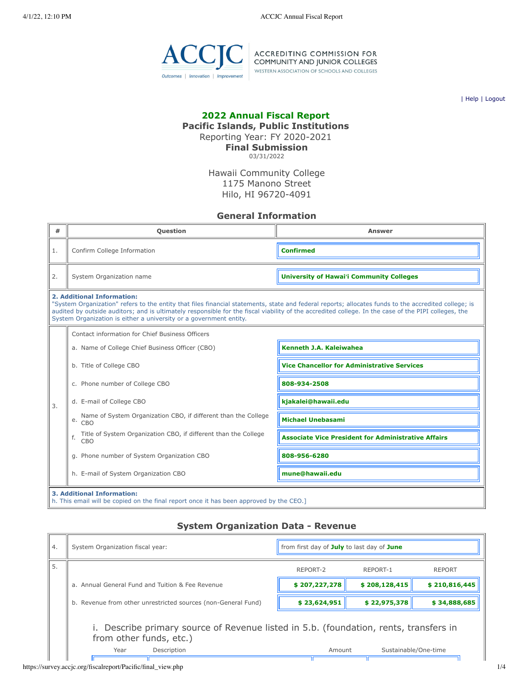

ACCREDITING COMMISSION FOR<br>COMMUNITY AND JUNIOR COLLEGES<br>WESTERN ASSOCIATION OF SCHOOLS AND COLLEGES

| [Help](javascript:newPopup() | [Logout](https://survey.accjc.org/fiscalreport/Pacific/logout.php)

## **2022 Annual Fiscal Report**

**Pacific Islands, Public Institutions**

Reporting Year: FY 2020-2021

**Final Submission** 03/31/2022

Hawaii Community College 1175 Manono Street Hilo, HI 96720-4091

### **General Information**

| #                | <b>Question</b>                                                                                                                                                                                                                                                                                                                                                                                                  | Answer                                                     |  |  |  |  |
|------------------|------------------------------------------------------------------------------------------------------------------------------------------------------------------------------------------------------------------------------------------------------------------------------------------------------------------------------------------------------------------------------------------------------------------|------------------------------------------------------------|--|--|--|--|
| 1.               | Confirm College Information                                                                                                                                                                                                                                                                                                                                                                                      | <b>Confirmed</b>                                           |  |  |  |  |
| 2.               | System Organization name                                                                                                                                                                                                                                                                                                                                                                                         | <b>University of Hawai'i Community Colleges</b>            |  |  |  |  |
|                  | 2. Additional Information:<br>"System Organization" refers to the entity that files financial statements, state and federal reports; allocates funds to the accredited college; is<br>audited by outside auditors; and is ultimately responsible for the fiscal viability of the accredited college. In the case of the PIPI colleges, the<br>System Organization is either a university or a government entity. |                                                            |  |  |  |  |
|                  | Contact information for Chief Business Officers                                                                                                                                                                                                                                                                                                                                                                  |                                                            |  |  |  |  |
|                  | a. Name of College Chief Business Officer (CBO)                                                                                                                                                                                                                                                                                                                                                                  | <b>Kenneth J.A. Kaleiwahea</b>                             |  |  |  |  |
|                  | b. Title of College CBO                                                                                                                                                                                                                                                                                                                                                                                          | <b>Vice Chancellor for Administrative Services</b>         |  |  |  |  |
|                  | c. Phone number of College CBO                                                                                                                                                                                                                                                                                                                                                                                   | 808-934-2508                                               |  |  |  |  |
| $\overline{3}$ . | d. E-mail of College CBO                                                                                                                                                                                                                                                                                                                                                                                         | kjakalei@hawaii.edu                                        |  |  |  |  |
|                  | Name of System Organization CBO, if different than the College<br>e.<br>CBO                                                                                                                                                                                                                                                                                                                                      | <b>Michael Unebasami</b>                                   |  |  |  |  |
|                  | Title of System Organization CBO, if different than the College<br>f.<br>CBO                                                                                                                                                                                                                                                                                                                                     | <b>Associate Vice President for Administrative Affairs</b> |  |  |  |  |
|                  | g. Phone number of System Organization CBO                                                                                                                                                                                                                                                                                                                                                                       | 808-956-6280                                               |  |  |  |  |
|                  | h. E-mail of System Organization CBO                                                                                                                                                                                                                                                                                                                                                                             | mune@hawaii.edu                                            |  |  |  |  |
|                  | <b>3. Additional Information:</b><br>h. This email will be copied on the final report once it has been approved by the CEO.]                                                                                                                                                                                                                                                                                     |                                                            |  |  |  |  |

### **System Organization Data - Revenue**

| 4. | System Organization fiscal year:                                                                                 | from first day of July to last day of June |               |               |  |  |  |
|----|------------------------------------------------------------------------------------------------------------------|--------------------------------------------|---------------|---------------|--|--|--|
| 5. |                                                                                                                  | REPORT-2                                   | REPORT-1      | <b>REPORT</b> |  |  |  |
|    | a. Annual General Fund and Tuition & Fee Revenue                                                                 | \$207,227,278                              | \$208,128,415 | \$210,816,445 |  |  |  |
|    | b. Revenue from other unrestricted sources (non-General Fund)                                                    | \$23,624,951                               | \$22,975,378  | \$34,888,685  |  |  |  |
|    | i. Describe primary source of Revenue listed in 5.b. (foundation, rents, transfers in<br>from other funds, etc.) |                                            |               |               |  |  |  |
|    | Description<br>Sustainable/One-time<br>Year<br>Amount                                                            |                                            |               |               |  |  |  |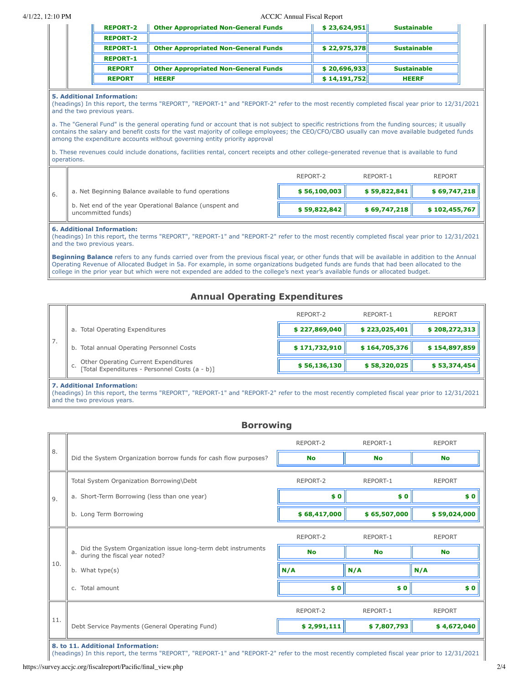#### 4/1/22, 12:10 PM ACCJC Annual Fiscal Report

| <b>REPORT-2</b> | <b>Other Appropriated Non-General Funds</b> | \$23,624,951 | <b>Sustainable</b> |
|-----------------|---------------------------------------------|--------------|--------------------|
| <b>REPORT-2</b> |                                             |              |                    |
| <b>REPORT-1</b> | <b>Other Appropriated Non-General Funds</b> | \$22,975,378 | <b>Sustainable</b> |
| <b>REPORT-1</b> |                                             |              |                    |
| <b>REPORT</b>   | <b>Other Appropriated Non-General Funds</b> | \$20,696,933 | <b>Sustainable</b> |
| <b>REPORT</b>   | <b>HEERF</b>                                | \$14,191,752 | <b>HEERF</b>       |

#### **5. Additional Information:**

(headings) In this report, the terms "REPORT", "REPORT-1" and "REPORT-2" refer to the most recently completed fiscal year prior to 12/31/2021 and the two previous years.

a. The "General Fund" is the general operating fund or account that is not subject to specific restrictions from the funding sources; it usually contains the salary and benefit costs for the vast majority of college employees; the CEO/CFO/CBO usually can move available budgeted funds among the expenditure accounts without governing entity priority approval

b. These revenues could include donations, facilities rental, concert receipts and other college-generated revenue that is available to fund operations.

|                                                                               | RFPORT-2     | RFPORT-1     | <b>REPORT</b> |
|-------------------------------------------------------------------------------|--------------|--------------|---------------|
| a. Net Beginning Balance available to fund operations                         | \$56,100,003 | \$59,822,841 | \$69,747,218  |
| b. Net end of the year Operational Balance (unspent and<br>uncommitted funds) | \$59,822,842 | \$69.747.218 | \$102,455,767 |

#### **6. Additional Information:**

(headings) In this report, the terms "REPORT", "REPORT-1" and "REPORT-2" refer to the most recently completed fiscal year prior to 12/31/2021 and the two previous years.

**Beginning Balance** refers to any funds carried over from the previous fiscal year, or other funds that will be available in addition to the Annual Operating Revenue of Allocated Budget in 5a. For example, in some organizations budgeted funds are funds that had been allocated to the college in the prior year but which were not expended are added to the college's next year's available funds or allocated budget.

### **Annual Operating Expenditures**

|    |                                                                                              | REPORT-2      | REPORT-1      | <b>REPORT</b> |
|----|----------------------------------------------------------------------------------------------|---------------|---------------|---------------|
|    | a. Total Operating Expenditures                                                              | \$227,869,040 | \$223,025,401 | \$208,272,313 |
| 7. | b. Total annual Operating Personnel Costs                                                    | \$171,732,910 | \$164,705,376 | \$154,897,859 |
|    | C. Other Operating Current Expenditures<br>C. [Total Expenditures - Personnel Costs (a - b)] | \$56,136,130  | \$58,320,025  | \$53,374,454  |

#### **7. Additional Information:**

(headings) In this report, the terms "REPORT", "REPORT-1" and "REPORT-2" refer to the most recently completed fiscal year prior to 12/31/2021 and the two previous years.

### **Borrowing**

|     |                                                                                                     | REPORT-2     | REPORT-1     | <b>REPORT</b> |
|-----|-----------------------------------------------------------------------------------------------------|--------------|--------------|---------------|
| 8.  | Did the System Organization borrow funds for cash flow purposes?                                    | <b>No</b>    | <b>No</b>    | <b>No</b>     |
|     | Total System Organization Borrowing\Debt                                                            | REPORT-2     | REPORT-1     | <b>REPORT</b> |
| 9.  | a. Short-Term Borrowing (less than one year)                                                        | \$0          | \$0          | \$0           |
|     | b. Long Term Borrowing                                                                              | \$68,417,000 | \$65,507,000 | \$59,024,000  |
|     |                                                                                                     | REPORT-2     | REPORT-1     | <b>REPORT</b> |
|     | Did the System Organization issue long-term debt instruments<br>a.<br>during the fiscal year noted? | <b>No</b>    | <b>No</b>    | <b>No</b>     |
| 10. | b. What type(s)                                                                                     | N/A          | N/A          | N/A           |
|     | c. Total amount                                                                                     | \$0          | \$0          | \$0           |
|     |                                                                                                     | REPORT-2     | REPORT-1     | <b>REPORT</b> |
| 11. | Debt Service Payments (General Operating Fund)                                                      | \$2,991,111  | \$7,807,793  | \$4,672,040   |
|     |                                                                                                     |              |              |               |

**8. to 11. Additional Information:**

(headings) In this report, the terms "REPORT", "REPORT-1" and "REPORT-2" refer to the most recently completed fiscal year prior to 12/31/2021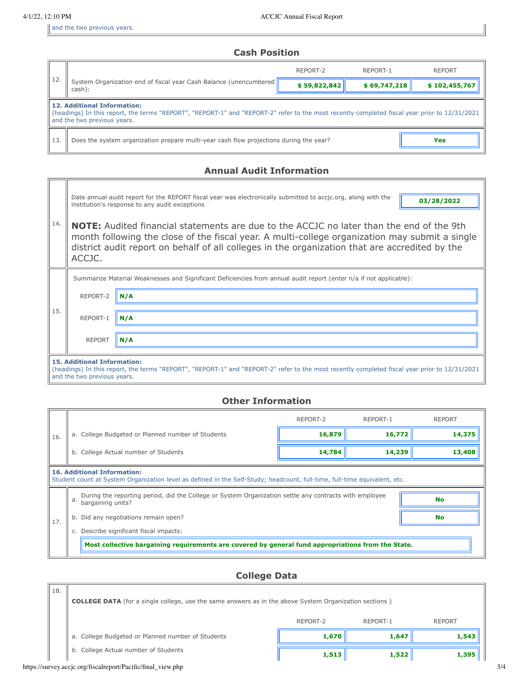and the two previous years.

### **Cash Position**

|     |                                                                                                                                                                                                                    | REPORT-2     | REPORT-1     | <b>REPORT</b> |  |  |  |  |
|-----|--------------------------------------------------------------------------------------------------------------------------------------------------------------------------------------------------------------------|--------------|--------------|---------------|--|--|--|--|
| 12. | System Organization end of fiscal year Cash Balance (unencumbered  <br>cash):                                                                                                                                      | \$59,822,842 | \$69,747,218 | \$102,455,767 |  |  |  |  |
|     | <b>12. Additional Information:</b><br>(headings) In this report, the terms "REPORT", "REPORT-1" and "REPORT-2" refer to the most recently completed fiscal year prior to 12/31/2021<br>and the two previous years. |              |              |               |  |  |  |  |
| 13. | Does the system organization prepare multi-year cash flow projections during the year?                                                                                                                             |              | Yes          |               |  |  |  |  |

## **Annual Audit Information**

|     |                                                                                                                                                                                                                                                                                                               | Date annual audit report for the REPORT fiscal year was electronically submitted to accjc.org, along with the<br>03/28/2022<br>institution's response to any audit exceptions |  |  |  |  |  |
|-----|---------------------------------------------------------------------------------------------------------------------------------------------------------------------------------------------------------------------------------------------------------------------------------------------------------------|-------------------------------------------------------------------------------------------------------------------------------------------------------------------------------|--|--|--|--|--|
| 14. | <b>NOTE:</b> Audited financial statements are due to the ACCJC no later than the end of the 9th<br>month following the close of the fiscal year. A multi-college organization may submit a single<br>district audit report on behalf of all colleges in the organization that are accredited by the<br>ACCJC. |                                                                                                                                                                               |  |  |  |  |  |
|     |                                                                                                                                                                                                                                                                                                               | Summarize Material Weaknesses and Significant Deficiencies from annual audit report (enter n/a if not applicable):                                                            |  |  |  |  |  |
|     | REPORT-2                                                                                                                                                                                                                                                                                                      | N/A                                                                                                                                                                           |  |  |  |  |  |
| 15. | REPORT-1                                                                                                                                                                                                                                                                                                      | N/A                                                                                                                                                                           |  |  |  |  |  |
|     | <b>REPORT</b><br>N/A                                                                                                                                                                                                                                                                                          |                                                                                                                                                                               |  |  |  |  |  |
|     | <b>15. Additional Information:</b><br>(headings) In this report, the terms "REPORT", "REPORT-1" and "REPORT-2" refer to the most recently completed fiscal year prior to 12/31/2021<br>and the two previous years.                                                                                            |                                                                                                                                                                               |  |  |  |  |  |

### **Other Information**

|                                                                                                                                                                 |                                                                                                                                                | REPORT-2 | REPORT-1 | <b>REPORT</b> |  |  |  |
|-----------------------------------------------------------------------------------------------------------------------------------------------------------------|------------------------------------------------------------------------------------------------------------------------------------------------|----------|----------|---------------|--|--|--|
| 16.                                                                                                                                                             | a. College Budgeted or Planned number of Students                                                                                              | 16,879   | 16,772   | 14,375        |  |  |  |
|                                                                                                                                                                 | b. College Actual number of Students                                                                                                           | 14,239   | 13,408   |               |  |  |  |
| <b>16. Additional Information:</b><br>Student count at System Organization level as defined in the Self-Study; headcount, full-time, full-time equivalent, etc. |                                                                                                                                                |          |          |               |  |  |  |
|                                                                                                                                                                 | During the reporting period, did the College or System Organization settle any contracts with employee<br><b>No</b><br>a.<br>bargaining units? |          |          |               |  |  |  |
| 17.                                                                                                                                                             | b. Did any negotiations remain open?                                                                                                           |          | No       |               |  |  |  |
|                                                                                                                                                                 | Describe significant fiscal impacts:                                                                                                           |          |          |               |  |  |  |
|                                                                                                                                                                 | Most collective bargaining requirements are covered by general fund appropriations from the State.                                             |          |          |               |  |  |  |

# **College Data**

| 18. | <b>COLLEGE DATA</b> (for a single college, use the same answers as in the above System Organization sections) |          |          |               |  |  |
|-----|---------------------------------------------------------------------------------------------------------------|----------|----------|---------------|--|--|
|     |                                                                                                               | REPORT-2 | REPORT-1 | <b>REPORT</b> |  |  |
|     | a. College Budgeted or Planned number of Students                                                             | 1,670    | 1,647    | 1,543         |  |  |
|     | b. College Actual number of Students                                                                          | 1,513    | 1,522    | 1,395         |  |  |